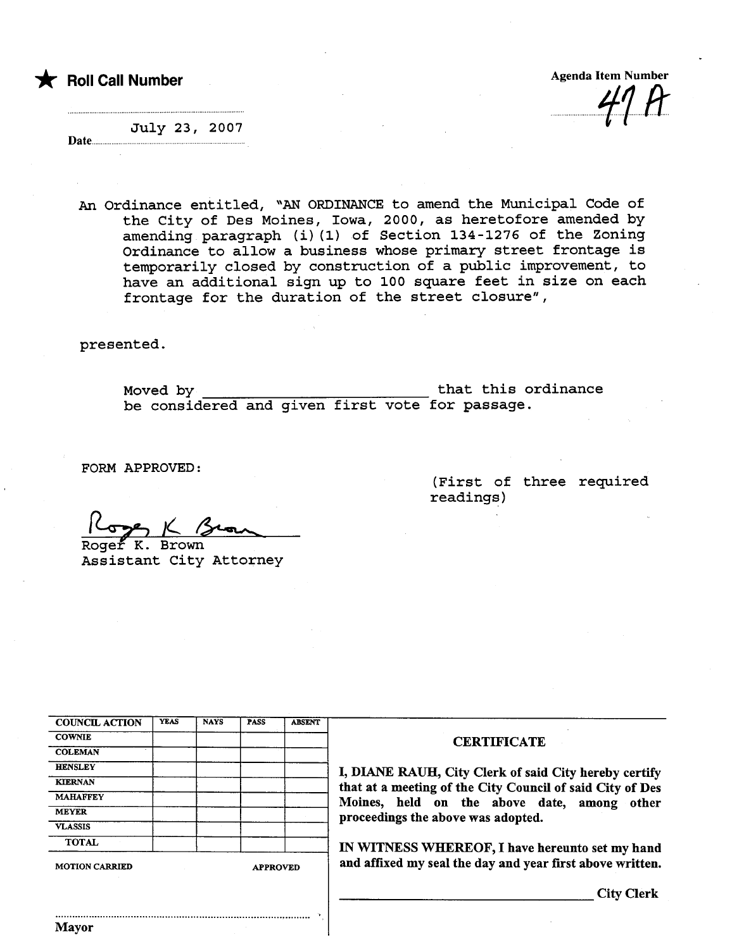$\blacktriangleright$  Roll Call Number

Agenda Item Number  $\mathbf{v}$  .  $\mathbf{v}$ 

July 23, 2007

Date...

An Ordinance entitled, "AN ORDINANCE to amend the Municipal Code of the City of Des Moines, Iowa, 2000, as heretofore amended by amending paragraph (i) (1) of Section 134-1276 of the Zoning Ordinance to allow a business whose primary street frontage is temporarily closed by construction of a public improvement, to have an additional sign up to 100 square feet in size on each frontage for the duration of the street closure",

presented.

Moved by <u>that this ordinance</u><br>he sensides and niver first wate for passage be considered and given first vote for passage.

FORM APPROVED:

(First of three required readings)

Roger K Brown

Roger K. Brown Assistant City Attorney

| <b>COUNCIL ACTION</b> | <b>YEAS</b> | <b>NAYS</b>     | <b>PASS</b> | <b>ABSENT</b> |
|-----------------------|-------------|-----------------|-------------|---------------|
| <b>COWNIE</b>         |             |                 |             |               |
| <b>COLEMAN</b>        |             |                 |             |               |
| <b>HENSLEY</b>        |             |                 |             |               |
| <b>KIERNAN</b>        |             |                 |             |               |
| <b>MAHAFFEY</b>       |             |                 |             |               |
| <b>MEYER</b>          |             |                 |             |               |
| <b>VLASSIS</b>        |             |                 |             |               |
| <b>TOTAL</b>          |             |                 |             |               |
| <b>MOTION CARRIED</b> |             | <b>APPROVED</b> |             |               |

..........................................................................................

## **CERTIFICATE**

I, DIANE RAUH, City Clerk of said City hereby certify<br>that at a meeting of the City Council of said City of Des Moines, held on the above date, among other proceedings the above was adopted.

IN WITNESS WHEREOF, I have hereunto set my hand and affixed my seal the day and year first above written.

City Clerk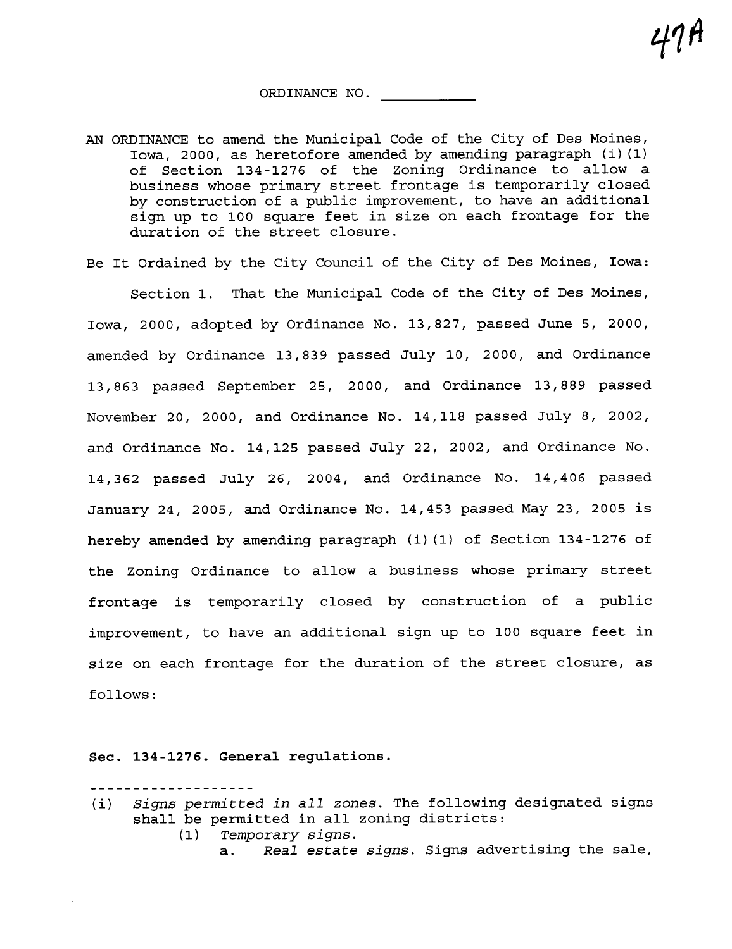ORDINANCE NO.

AN ORDINANCE to amend the Municipal Code of the City of Des Moines, Iowa, 2000, as heretofore amended by amending paragraph (i) (1) of Section 134-1276 of the Zoning Ordinance to allow a business whose primary street frontage is temporarily closed by construction of a public improvement, to have an additional sign up to 100 square feet in size on each frontage for the duration of the street closure.

Be It Ordained by the City Council of the City of Des Moines, Iowa: Section 1. That the Municipal Code of the City of Des Moines, Iowa, 2000, adopted by Ordinance No. 13,827, passed June 5, 2000, amended by Ordinance 13,839 passed July 10, 2000, and Ordinance 13,863 passed September 25, 2000, and Ordinance 13,889 passed November 20, 2000, and Ordinance No. 14,118 passed July 8, 2002, and Ordinance No. 14,125 passed July 22, 2002, and Ordinance No. 14,362 passed July 26, 2004, and Ordinance No. 14,406 passed January 24, 2005, and Ordinance No. 14,453 passed May 23, 2005 is hereby amended by amending paragraph (i) (1) of Section 134-1276 of the zoning Ordinance to allow a business whose primary street frontage is temporarily closed by construction of a public improvement, to have an additional sign up to 100 square feet in size on each frontage for the duration of the street closure, as follows:

## Sec. 134-1276. General regulations.

(i) Signs permitted in all zones. The following designated signs shall be permitted in all zoning districts: (1) Temporary signs.

a. Real estate signs. Signs advertising the sale,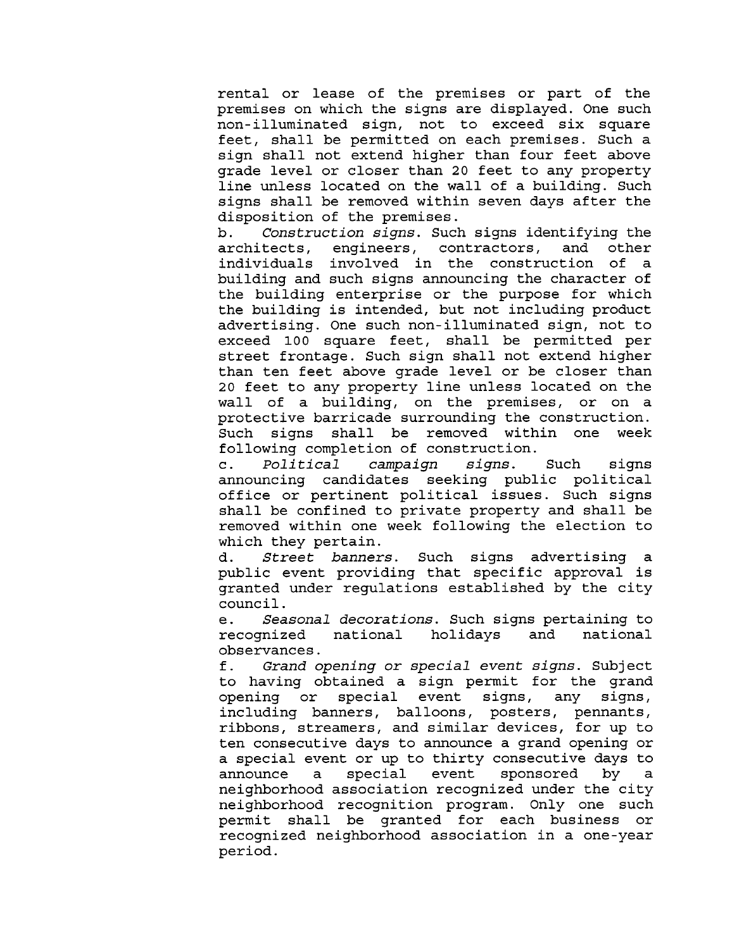rental or lease of the premises or part of the premises on which the signs are displayed. One such non- illuminated sign, not to exceed six square feet, shall be permitted on each premises. Such a sign shall not extend higher than four feet above grade level or closer than 20 feet to any property line unless located on the wall of a building. Such signs shall be removed within seven days after the disposition of the premises.

b. Construction signs. Such signs identifying the<br>architects, engineers, contractors, and other<br>individuals involved in the construction of a involved in the construction of a building and such signs announcing the character of the building enterprise or the purpose for which the building is intended, but not including product advertising. One such non- illuminated sign, not to exceed 100 square feet, shall be permitted per street frontage. Such sign shall not extend higher than ten feet above grade level or be closer than 20 feet to any property line unless located on the wall of a building, on the premises, or on a protective barricade surrounding the construction. Such signs shall be removed within one week following completion of construction.

c. Political campaign signs. Such signs announcing candidates seeking public political office or pertinent political issues. Such signs shall be confined to private property and shall be removed within one week following the election to which they pertain.

d. Street banners. Such signs advertising a public event providing that specific approval is granted under regulations established by the city council.

e. Seasonal decorations. Such signs pertaining to recognized national holidays and national observances.

f. Grand opening or special event signs. Subject to having obtained a sign permit for the grand opening or special event signs, any signs, including banners, balloons, posters, pennants, ribbons, streamers, and similar devices, for up to ten consecutive days to announce a grand opening or a special event or up to thirty consecutive days to announce a special event sponsored by a neighborhood association recognized under the city neighborhood recognition program. Only one such permit shall be granted for each business or recognized neighborhood association in a one-year period.